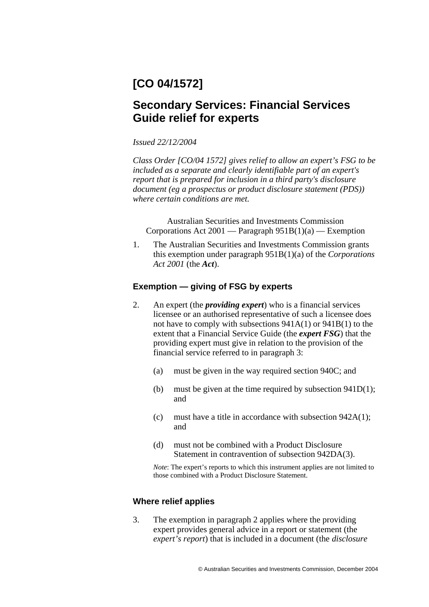# **[CO 04/1572]**

# **Secondary Services: Financial Services Guide relief for experts**

## *Issued 22/12/2004*

*Class Order [CO/04 1572] gives relief to allow an expert's FSG to be included as a separate and clearly identifiable part of an expert's report that is prepared for inclusion in a third party's disclosure document (eg a prospectus or product disclosure statement (PDS)) where certain conditions are met.* 

Australian Securities and Investments Commission Corporations Act  $2001$  — Paragraph  $951B(1)(a)$  — Exemption

1. The Australian Securities and Investments Commission grants this exemption under paragraph 951B(1)(a) of the *Corporations Act 2001* (the *Act*).

# **Exemption — giving of FSG by experts**

- 2. An expert (the *providing expert*) who is a financial services licensee or an authorised representative of such a licensee does not have to comply with subsections 941A(1) or 941B(1) to the extent that a Financial Service Guide (the *expert FSG*) that the providing expert must give in relation to the provision of the financial service referred to in paragraph 3:
	- (a) must be given in the way required section 940C; and
	- (b) must be given at the time required by subsection  $941D(1)$ ; and
	- (c) must have a title in accordance with subsection 942A(1); and
	- (d) must not be combined with a Product Disclosure Statement in contravention of subsection 942DA(3).

*Note*: The expert's reports to which this instrument applies are not limited to those combined with a Product Disclosure Statement.

## **Where relief applies**

3. The exemption in paragraph 2 applies where the providing expert provides general advice in a report or statement (the *expert's report*) that is included in a document (the *disclosure*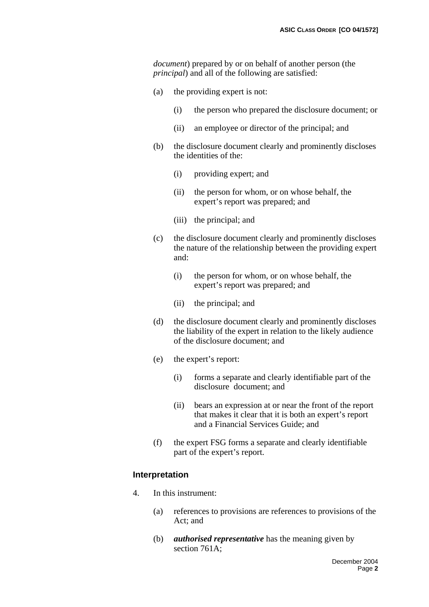*document*) prepared by or on behalf of another person (the *principal*) and all of the following are satisfied:

- (a) the providing expert is not:
	- (i) the person who prepared the disclosure document; or
	- (ii) an employee or director of the principal; and
- (b) the disclosure document clearly and prominently discloses the identities of the:
	- (i) providing expert; and
	- (ii) the person for whom, or on whose behalf, the expert's report was prepared; and
	- (iii) the principal; and
- (c) the disclosure document clearly and prominently discloses the nature of the relationship between the providing expert and:
	- (i) the person for whom, or on whose behalf, the expert's report was prepared; and
	- (ii) the principal; and
- (d) the disclosure document clearly and prominently discloses the liability of the expert in relation to the likely audience of the disclosure document; and
- (e) the expert's report:
	- (i) forms a separate and clearly identifiable part of the disclosure document; and
	- (ii) bears an expression at or near the front of the report that makes it clear that it is both an expert's report and a Financial Services Guide; and
- (f) the expert FSG forms a separate and clearly identifiable part of the expert's report.

## **Interpretation**

- 4. In this instrument:
	- (a) references to provisions are references to provisions of the Act; and
	- (b) *authorised representative* has the meaning given by section 761A: